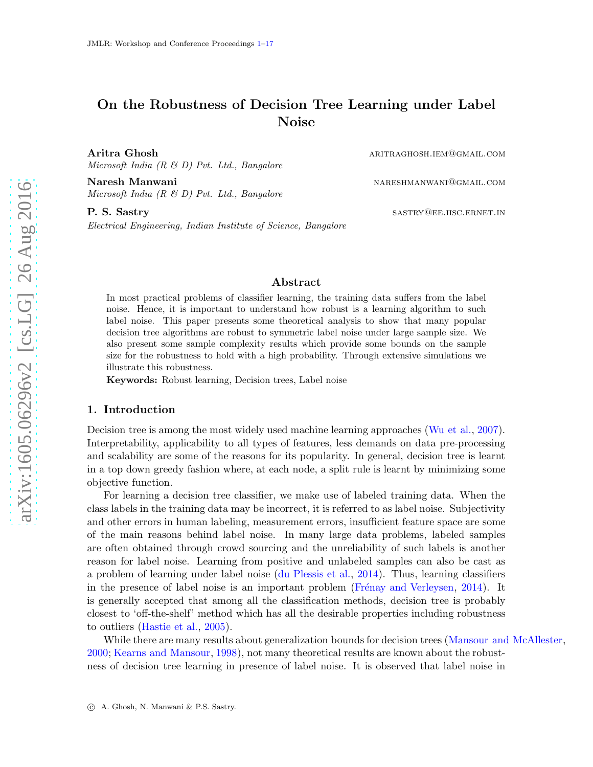# <span id="page-0-0"></span>On the Robustness of Decision Tree Learning under Label Noise

Aritra Ghosh aritraghosh.iem and aritraghosh.iem and aritraghosh.iem and aritraghosh.iem and aritraghosh.iem and aritraghosh.iem and aritraghosh.iem and aritraghosh.iem and aritraghosh.iem and aritraghosh.iem and aritragho Microsoft India  $(R \& D)$  Pvt. Ltd., Bangalore

Naresh Manwani nareshwani nareshmanwani nareshmanwani nareshmanwani nareshmanwani nareshmanwani nare nare nare Microsoft India  $(R \& D)$  Pvt. Ltd., Bangalore

P. S. Sastry sastra SASTRY QUE. IISC. ERNET. IN Electrical Engineering, Indian Institute of Science, Bangalore

# Abstract

In most practical problems of classifier learning, the training data suffers from the label noise. Hence, it is important to understand how robust is a learning algorithm to such label noise. This paper presents some theoretical analysis to show that many popular decision tree algorithms are robust to symmetric label noise under large sample size. We also present some sample complexity results which provide some bounds on the sample size for the robustness to hold with a high probability. Through extensive simulations we illustrate this robustness.

Keywords: Robust learning, Decision trees, Label noise

### 1. Introduction

Decision tree is among the most widely used machine learning approaches [\(Wu et al.,](#page-14-0) [2007\)](#page-14-0). Interpretability, applicability to all types of features, less demands on data pre-processing and scalability are some of the reasons for its popularity. In general, decision tree is learnt in a top down greedy fashion where, at each node, a split rule is learnt by minimizing some objective function.

For learning a decision tree classifier, we make use of labeled training data. When the class labels in the training data may be incorrect, it is referred to as label noise. Subjectivity and other errors in human labeling, measurement errors, insufficient feature space are some of the main reasons behind label noise. In many large data problems, labeled samples are often obtained through crowd sourcing and the unreliability of such labels is another reason for label noise. Learning from positive and unlabeled samples can also be cast as a problem of learning under label noise [\(du Plessis et al.](#page-13-0), [2014\)](#page-13-0). Thus, learning classifiers in the presence of label noise is an important problem (Frénay and Verleysen,  $2014$ ). It is generally accepted that among all the classification methods, decision tree is probably closest to 'off-the-shelf' method which has all the desirable properties including robustness to outliers [\(Hastie et al.](#page-13-2), [2005\)](#page-13-2).

While there are many results about generalization bounds for decision trees [\(Mansour and McAllester](#page-13-3), [2000;](#page-13-3) [Kearns and Mansour](#page-13-4), [1998\)](#page-13-4), not many theoretical results are known about the robustness of decision tree learning in presence of label noise. It is observed that label noise in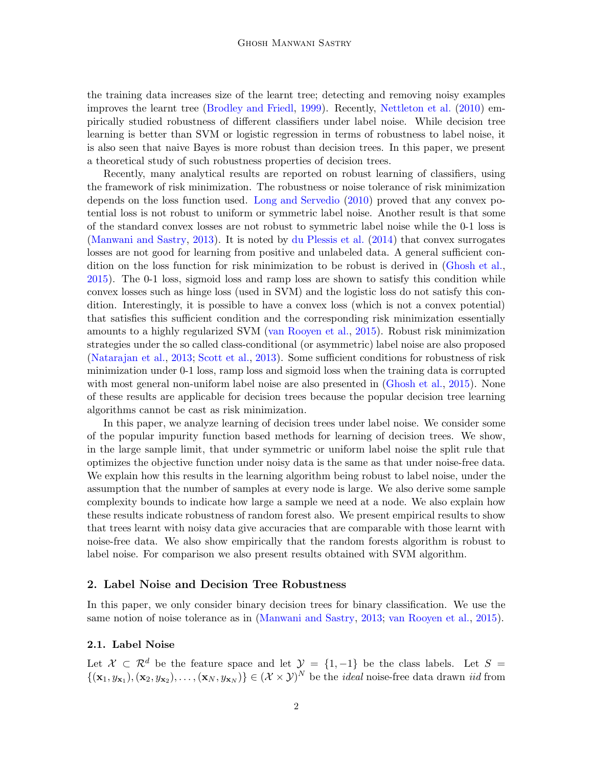the training data increases size of the learnt tree; detecting and removing noisy examples improves the learnt tree [\(Brodley and Friedl](#page-13-5), [1999](#page-13-5)). Recently, [Nettleton et al.](#page-13-6) [\(2010](#page-13-6)) empirically studied robustness of different classifiers under label noise. While decision tree learning is better than SVM or logistic regression in terms of robustness to label noise, it is also seen that naive Bayes is more robust than decision trees. In this paper, we present a theoretical study of such robustness properties of decision trees.

Recently, many analytical results are reported on robust learning of classifiers, using the framework of risk minimization. The robustness or noise tolerance of risk minimization depends on the loss function used. [Long and Servedio](#page-13-7) [\(2010](#page-13-7)) proved that any convex potential loss is not robust to uniform or symmetric label noise. Another result is that some of the standard convex losses are not robust to symmetric label noise while the 0-1 loss is [\(Manwani and Sastry,](#page-13-8) [2013](#page-13-8)). It is noted by [du Plessis et al.](#page-13-0) [\(2014](#page-13-0)) that convex surrogates losses are not good for learning from positive and unlabeled data. A general sufficient condition on the loss function for risk minimization to be robust is derived in [\(Ghosh et al.](#page-13-9), [2015\)](#page-13-9). The 0-1 loss, sigmoid loss and ramp loss are shown to satisfy this condition while convex losses such as hinge loss (used in SVM) and the logistic loss do not satisfy this condition. Interestingly, it is possible to have a convex loss (which is not a convex potential) that satisfies this sufficient condition and the corresponding risk minimization essentially amounts to a highly regularized SVM [\(van Rooyen et al.](#page-14-1), [2015\)](#page-14-1). Robust risk minimization strategies under the so called class-conditional (or asymmetric) label noise are also proposed [\(Natarajan et al.,](#page-13-10) [2013](#page-13-10); Scott et al., 2013). Some sufficient conditions for robustness of risk minimization under 0-1 loss, ramp loss and sigmoid loss when the training data is corrupted with most general non-uniform label noise are also presented in [\(Ghosh et al.](#page-13-9), [2015](#page-13-9)). None of these results are applicable for decision trees because the popular decision tree learning algorithms cannot be cast as risk minimization.

In this paper, we analyze learning of decision trees under label noise. We consider some of the popular impurity function based methods for learning of decision trees. We show, in the large sample limit, that under symmetric or uniform label noise the split rule that optimizes the objective function under noisy data is the same as that under noise-free data. We explain how this results in the learning algorithm being robust to label noise, under the assumption that the number of samples at every node is large. We also derive some sample complexity bounds to indicate how large a sample we need at a node. We also explain how these results indicate robustness of random forest also. We present empirical results to show that trees learnt with noisy data give accuracies that are comparable with those learnt with noise-free data. We also show empirically that the random forests algorithm is robust to label noise. For comparison we also present results obtained with SVM algorithm.

# 2. Label Noise and Decision Tree Robustness

In this paper, we only consider binary decision trees for binary classification. We use the same notion of noise tolerance as in [\(Manwani and Sastry](#page-13-8), [2013;](#page-13-8) [van Rooyen et al.](#page-14-1), [2015](#page-14-1)).

# 2.1. Label Noise

Let  $\mathcal{X} \subset \mathcal{R}^d$  be the feature space and let  $\mathcal{Y} = \{1, -1\}$  be the class labels. Let  $S =$  $\{(\mathbf{x}_1, y_{\mathbf{x}_1}), (\mathbf{x}_2, y_{\mathbf{x}_2}), \ldots, (\mathbf{x}_N, y_{\mathbf{x}_N})\} \in (\mathcal{X} \times \mathcal{Y})^N$  be the *ideal* noise-free data drawn *iid* from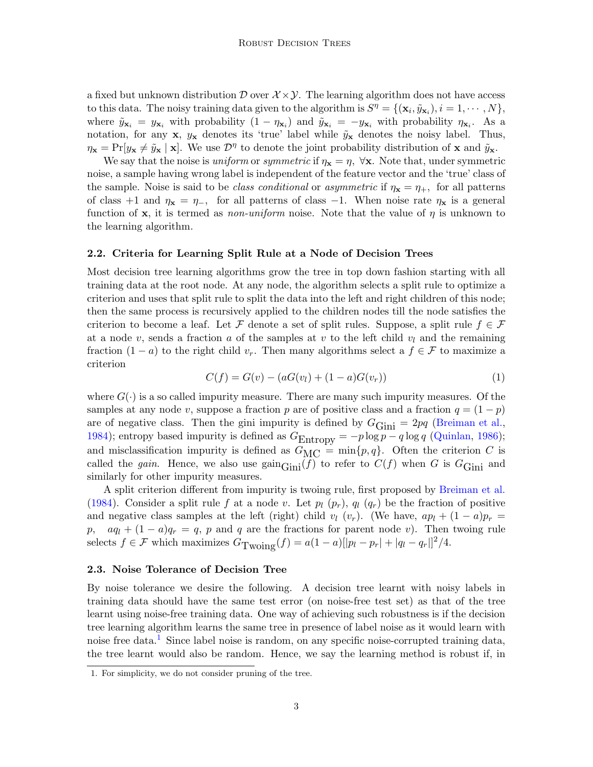a fixed but unknown distribution  $\mathcal{D}$  over  $\mathcal{X} \times \mathcal{Y}$ . The learning algorithm does not have access to this data. The noisy training data given to the algorithm is  $S^{\eta} = \{(\mathbf{x}_i, \tilde{y}_{\mathbf{x}_i}), i = 1, \cdots, N\},\$ where  $\tilde{y}_{\mathbf{x}_i} = y_{\mathbf{x}_i}$  with probability  $(1 - \eta_{\mathbf{x}_i})$  and  $\tilde{y}_{\mathbf{x}_i} = -y_{\mathbf{x}_i}$  with probability  $\eta_{\mathbf{x}_i}$ . As a notation, for any **x**,  $y_x$  denotes its 'true' label while  $\tilde{y}_x$  denotes the noisy label. Thus,  $\eta_{\mathbf{x}} = \Pr[y_{\mathbf{x}} \neq \tilde{y}_{\mathbf{x}} \mid \mathbf{x}]$ . We use  $\mathcal{D}^{\eta}$  to denote the joint probability distribution of **x** and  $\tilde{y}_{\mathbf{x}}$ .

We say that the noise is uniform or symmetric if  $\eta_{\mathbf{x}} = \eta$ ,  $\forall \mathbf{x}$ . Note that, under symmetric noise, a sample having wrong label is independent of the feature vector and the 'true' class of the sample. Noise is said to be *class conditional* or *asymmetric* if  $\eta_{\mathbf{x}} = \eta_{+}$ , for all patterns of class +1 and  $\eta_x = \eta_{-}$ , for all patterns of class -1. When noise rate  $\eta_x$  is a general function of x, it is termed as *non-uniform* noise. Note that the value of  $\eta$  is unknown to the learning algorithm.

#### <span id="page-2-2"></span>2.2. Criteria for Learning Split Rule at a Node of Decision Trees

Most decision tree learning algorithms grow the tree in top down fashion starting with all training data at the root node. At any node, the algorithm selects a split rule to optimize a criterion and uses that split rule to split the data into the left and right children of this node; then the same process is recursively applied to the children nodes till the node satisfies the criterion to become a leaf. Let F denote a set of split rules. Suppose, a split rule  $f \in \mathcal{F}$ at a node v, sends a fraction a of the samples at v to the left child  $v_l$  and the remaining fraction  $(1 - a)$  to the right child  $v_r$ . Then many algorithms select a  $f \in \mathcal{F}$  to maximize a criterion

<span id="page-2-1"></span>
$$
C(f) = G(v) - (aG(v_l) + (1 - a)G(v_r))
$$
\n(1)

where  $G(\cdot)$  is a so called impurity measure. There are many such impurity measures. Of the samples at any node v, suppose a fraction p are of positive class and a fraction  $q = (1 - p)$ are of negative class. Then the gini impurity is defined by  $G$ Gini = 2pq [\(Breiman et al.](#page-13-11), [1984\)](#page-13-11); entropy based impurity is defined as  $G_{\text{Entropy}} = -p \log p - q \log q$  [\(Quinlan](#page-14-2), [1986\)](#page-14-2); and misclassification impurity is defined as  $G_{MC} = \min\{p, q\}$ . Often the criterion C is called the gain. Hence, we also use  $\text{gain}_{\text{Gini}}(f)$  to refer to  $C(f)$  when G is  $G_{\text{Gini}}$  and similarly for other impurity measures.

A split criterion different from impurity is twoing rule, first proposed by [Breiman et al.](#page-13-11) [\(1984](#page-13-11)). Consider a split rule f at a node v. Let  $p_l$  ( $p_r$ ),  $q_l$  ( $q_r$ ) be the fraction of positive and negative class samples at the left (right) child  $v_l$  ( $v_r$ ). (We have,  $ap_l + (1 - a)p_r =$ p,  $aq_l + (1 - a)q_r = q$ , p and q are the fractions for parent node v). Then twoing rule selects  $f \in \mathcal{F}$  which maximizes  $G_{\text{Twoling}}(f) = a(1 - a)[|p_l - p_r| + |q_l - q_r|]^2/4.$ 

#### 2.3. Noise Tolerance of Decision Tree

By noise tolerance we desire the following. A decision tree learnt with noisy labels in training data should have the same test error (on noise-free test set) as that of the tree learnt using noise-free training data. One way of achieving such robustness is if the decision tree learning algorithm learns the same tree in presence of label noise as it would learn with noise free data.<sup>[1](#page-2-0)</sup> Since label noise is random, on any specific noise-corrupted training data, the tree learnt would also be random. Hence, we say the learning method is robust if, in

<span id="page-2-0"></span><sup>1.</sup> For simplicity, we do not consider pruning of the tree.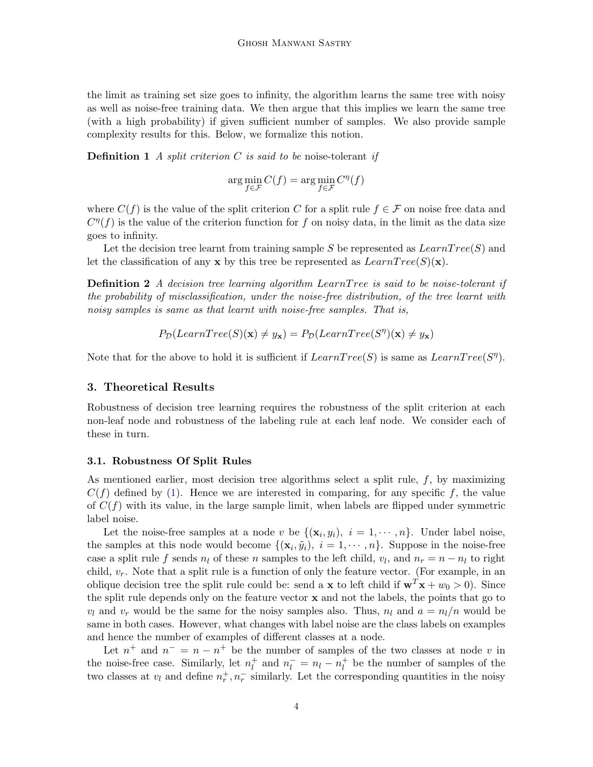the limit as training set size goes to infinity, the algorithm learns the same tree with noisy as well as noise-free training data. We then argue that this implies we learn the same tree (with a high probability) if given sufficient number of samples. We also provide sample complexity results for this. Below, we formalize this notion.

**Definition 1** A split criterion C is said to be noise-tolerant if

$$
\arg\min_{f\in\mathcal{F}}C(f)=\arg\min_{f\in\mathcal{F}}C^{\eta}(f)
$$

where  $C(f)$  is the value of the split criterion C for a split rule  $f \in \mathcal{F}$  on noise free data and  $C^{\eta}(f)$  is the value of the criterion function for f on noisy data, in the limit as the data size goes to infinity.

Let the decision tree learnt from training sample S be represented as  $LearnTree(S)$  and let the classification of any **x** by this tree be represented as  $LearnTree(S)(\mathbf{x})$ .

**Definition 2** A decision tree learning algorithm LearnT ree is said to be noise-tolerant if the probability of misclassification, under the noise-free distribution, of the tree learnt with noisy samples is same as that learnt with noise-free samples. That is,

$$
P_{\mathcal{D}}(LearnTree(S)(\mathbf{x}) \neq y_{\mathbf{x}}) = P_{\mathcal{D}}(LearnTree(S'')(\mathbf{x}) \neq y_{\mathbf{x}})
$$

Note that for the above to hold it is sufficient if  $LearnTree(S)$  is same as  $LearnTree(S<sup>\eta</sup>)$ .

# 3. Theoretical Results

Robustness of decision tree learning requires the robustness of the split criterion at each non-leaf node and robustness of the labeling rule at each leaf node. We consider each of these in turn.

#### 3.1. Robustness Of Split Rules

As mentioned earlier, most decision tree algorithms select a split rule,  $f$ , by maximizing  $C(f)$  defined by [\(1\)](#page-2-1). Hence we are interested in comparing, for any specific f, the value of  $C(f)$  with its value, in the large sample limit, when labels are flipped under symmetric label noise.

Let the noise-free samples at a node v be  $\{(\mathbf{x}_i, y_i), i = 1, \dots, n\}$ . Under label noise, the samples at this node would become  $\{(\mathbf{x}_i, \tilde{y}_i), i = 1, \dots, n\}$ . Suppose in the noise-free case a split rule f sends  $n_l$  of these n samples to the left child,  $v_l$ , and  $n_r = n - n_l$  to right child,  $v_r$ . Note that a split rule is a function of only the feature vector. (For example, in an oblique decision tree the split rule could be: send a **x** to left child if  $\mathbf{w}^T \mathbf{x} + w_0 > 0$ ). Since the split rule depends only on the feature vector  $x$  and not the labels, the points that go to  $v_l$  and  $v_r$  would be the same for the noisy samples also. Thus,  $n_l$  and  $a = n_l/n$  would be same in both cases. However, what changes with label noise are the class labels on examples and hence the number of examples of different classes at a node.

Let  $n^+$  and  $n^- = n - n^+$  be the number of samples of the two classes at node v in the noise-free case. Similarly, let  $n_l^+$  $n_l^+$  and  $n_l^- = n_l - n_l^+$  $\mu$ <sup>+</sup> be the number of samples of the two classes at  $v_l$  and define  $n_r^+, n_r^-$  similarly. Let the corresponding quantities in the noisy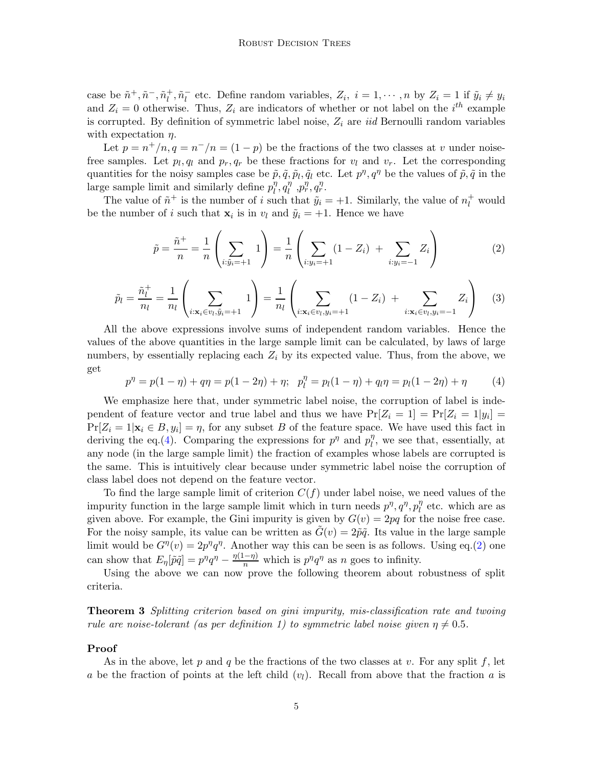case be  $\tilde{n}^+, \tilde{n}^-, \tilde{n}_l^+$  $\tilde{n}_l^+$ ,  $\tilde{n}_l^ \bar{l}_l$  etc. Define random variables,  $Z_i$ ,  $i = 1, \dots, n$  by  $Z_i = 1$  if  $\tilde{y}_i \neq y_i$ and  $Z_i = 0$  otherwise. Thus,  $Z_i$  are indicators of whether or not label on the i<sup>th</sup> example is corrupted. By definition of symmetric label noise,  $Z_i$  are *iid* Bernoulli random variables with expectation  $\eta$ .

Let  $p = n^+/n$ ,  $q = n^-/n = (1 - p)$  be the fractions of the two classes at v under noisefree samples. Let  $p_l, q_l$  and  $p_r, q_r$  be these fractions for  $v_l$  and  $v_r$ . Let the corresponding quantities for the noisy samples case be  $\tilde{p}, \tilde{q}, \tilde{p}_l, \tilde{q}_l$  etc. Let  $p^{\eta}, q^{\eta}$  be the values of  $\tilde{p}, \tilde{q}$  in the large sample limit and similarly define  $p_l^{\eta}$  $\eta_l^{\eta}$ ,  $q_l^{\eta}$  $\eta$ ,  $p_r^{\eta}$ ,  $q_r^{\eta}$ .

The value of  $\tilde{n}^+$  is the number of i such that  $\tilde{y}_i = +1$ . Similarly, the value of  $n_l^+$  would be the number of i such that  $\mathbf{x}_i$  is in  $v_l$  and  $\tilde{y}_i = +1$ . Hence we have

<span id="page-4-1"></span>
$$
\tilde{p} = \frac{\tilde{n}^+}{n} = \frac{1}{n} \left( \sum_{i:\tilde{y}_i = +1} 1 \right) = \frac{1}{n} \left( \sum_{i:y_i = +1} (1 - Z_i) + \sum_{i:y_i = -1} Z_i \right)
$$
(2)

$$
\tilde{p}_l = \frac{\tilde{n}_l^+}{n_l} = \frac{1}{n_l} \left( \sum_{i: \mathbf{x}_i \in v_l, \tilde{y}_i = +1} 1 \right) = \frac{1}{n_l} \left( \sum_{i: \mathbf{x}_i \in v_l, y_i = +1} (1 - Z_i) + \sum_{i: \mathbf{x}_i \in v_l, y_i = -1} Z_i \right) \tag{3}
$$

All the above expressions involve sums of independent random variables. Hence the values of the above quantities in the large sample limit can be calculated, by laws of large numbers, by essentially replacing each  $Z_i$  by its expected value. Thus, from the above, we get

<span id="page-4-0"></span>
$$
p^{\eta} = p(1 - \eta) + q\eta = p(1 - 2\eta) + \eta; \quad p_l^{\eta} = p_l(1 - \eta) + q_l\eta = p_l(1 - 2\eta) + \eta \tag{4}
$$

We emphasize here that, under symmetric label noise, the corruption of label is independent of feature vector and true label and thus we have  $Pr[Z_i = 1] = Pr[Z_i = 1|y_i] =$  $Pr[Z_i = 1 | \mathbf{x}_i \in B, y_i] = \eta$ , for any subset B of the feature space. We have used this fact in deriving the eq.[\(4\)](#page-4-0). Comparing the expressions for  $p^{\eta}$  and  $p_l^{\eta}$  $\eta$ , we see that, essentially, at any node (in the large sample limit) the fraction of examples whose labels are corrupted is the same. This is intuitively clear because under symmetric label noise the corruption of class label does not depend on the feature vector.

To find the large sample limit of criterion  $C(f)$  under label noise, we need values of the impurity function in the large sample limit which in turn needs  $p^{\eta}, q^{\eta}, p_{l}^{\eta}$  $\int_l^{\eta}$  etc. which are as given above. For example, the Gini impurity is given by  $G(v) = 2pq$  for the noise free case. For the noisy sample, its value can be written as  $\tilde{G}(v) = 2\tilde{p}\tilde{q}$ . Its value in the large sample limit would be  $G^{\eta}(v) = 2p^{\eta}q^{\eta}$ . Another way this can be seen is as follows. Using eq.[\(2\)](#page-4-1) one can show that  $E_{\eta}[\tilde{p}\tilde{q}] = p^{\eta}q^{\eta} - \frac{\eta(1-\eta)}{n}$  which is  $p^{\eta}q^{\eta}$  as n goes to infinity.

Using the above we can now prove the following theorem about robustness of split criteria.

**Theorem 3** Splitting criterion based on gini impurity, mis-classification rate and twoing rule are noise-tolerant (as per definition 1) to symmetric label noise given  $\eta \neq 0.5$ .

#### Proof

As in the above, let p and q be the fractions of the two classes at v. For any split f, let a be the fraction of points at the left child  $(v_l)$ . Recall from above that the fraction a is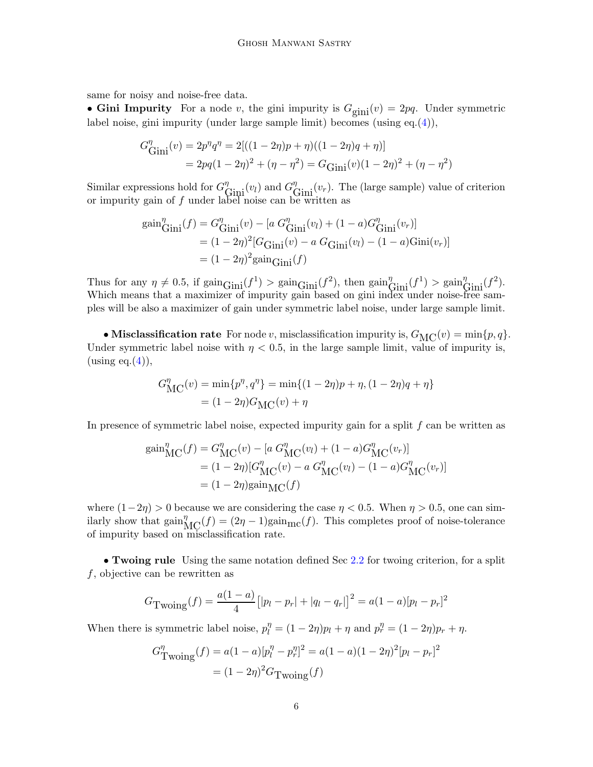same for noisy and noise-free data.

• Gini Impurity For a node v, the gini impurity is  $G_{\text{gini}}(v) = 2pq$ . Under symmetric label noise, gini impurity (under large sample limit) becomes (using eq.[\(4\)](#page-4-0)),

$$
G_{\text{Gini}}^{\eta}(v) = 2p^{\eta}q^{\eta} = 2[((1 - 2\eta)p + \eta)((1 - 2\eta)q + \eta)]
$$
  
=  $2pq(1 - 2\eta)^2 + (\eta - \eta^2) = G_{\text{Gini}}(v)(1 - 2\eta)^2 + (\eta - \eta^2)$ 

Similar expressions hold for  $G_{\text{Gini}}^{\eta}(v_l)$  and  $G_{\text{Gini}}^{\eta}(v_r)$ . The (large sample) value of criterion or impurity gain of f under label noise can be written as

$$
gain_{\text{Gini}}^{\eta}(f) = G_{\text{Gini}}^{\eta}(v) - [a \ G_{\text{Gini}}^{\eta}(v_l) + (1 - a)G_{\text{Gini}}^{\eta}(v_r)]
$$
  
=  $(1 - 2\eta)^2 [G_{\text{Gini}}(v) - a \ G_{\text{Gini}}(v_l) - (1 - a)\text{Gini}(v_r)]$   
=  $(1 - 2\eta)^2 \text{gain}_{\text{Gini}}(f)$ 

Thus for any  $\eta \neq 0.5$ , if  $\text{gain}_{\text{Gini}}(f^1) > \text{gain}_{\text{Gini}}(f^2)$ , then  $\text{gain}_{\text{Gini}}^{\eta}(f^1) > \text{gain}_{\text{Gini}}^{\eta}(f^2)$ . Which means that a maximizer of impurity gain based on gini index under noise-free samples will be also a maximizer of gain under symmetric label noise, under large sample limit.

• Misclassification rate For node v, misclassification impurity is,  $G_{MC}(v) = \min\{p, q\}.$ Under symmetric label noise with  $\eta < 0.5$ , in the large sample limit, value of impurity is,  $(u\sin g \text{ eq.}(4)),$  $(u\sin g \text{ eq.}(4)),$  $(u\sin g \text{ eq.}(4)),$ 

$$
G_{\text{MC}}^{\eta}(v) = \min\{p^{\eta}, q^{\eta}\} = \min\{(1 - 2\eta)p + \eta, (1 - 2\eta)q + \eta\}
$$

$$
= (1 - 2\eta)G_{\text{MC}}(v) + \eta
$$

In presence of symmetric label noise, expected impurity gain for a split  $f$  can be written as

$$
gain_{MC}^{\eta}(f) = G_{MC}^{\eta}(v) - [a \ G_{MC}^{\eta}(v_l) + (1 - a)G_{MC}^{\eta}(v_r)]
$$
  
=  $(1 - 2\eta)[G_{MC}^{\eta}(v) - a \ G_{MC}^{\eta}(v_l) - (1 - a)G_{MC}^{\eta}(v_r)]$   
=  $(1 - 2\eta)gain_{MC}(f)$ 

where  $(1-2\eta) > 0$  because we are considering the case  $\eta < 0.5$ . When  $\eta > 0.5$ , one can similarly show that  $\text{gain}^{\eta}_{\text{MC}}(f) = (2\eta - 1)\text{gain}_{\text{mc}}(f)$ . This completes proof of noise-tolerance of impurity based on misclassification rate.

• Twoing rule Using the same notation defined Sec [2.2](#page-2-2) for twoing criterion, for a split  $f$ , objective can be rewritten as

$$
G_{\text{Twoing}}(f) = \frac{a(1-a)}{4} \left[ |p_l - p_r| + |q_l - q_r| \right]^2 = a(1-a)[p_l - p_r]^2
$$

When there is symmetric label noise,  $p_l^{\eta} = (1 - 2\eta)p_l + \eta$  and  $p_r^{\eta} = (1 - 2\eta)p_r + \eta$ .

$$
G_{\text{Twoling}}^{\eta}(f) = a(1-a)[p_l^{\eta} - p_r^{\eta}]^2 = a(1-a)(1-2\eta)^2[p_l - p_r]^2
$$

$$
= (1-2\eta)^2 G_{\text{Twoling}}(f)
$$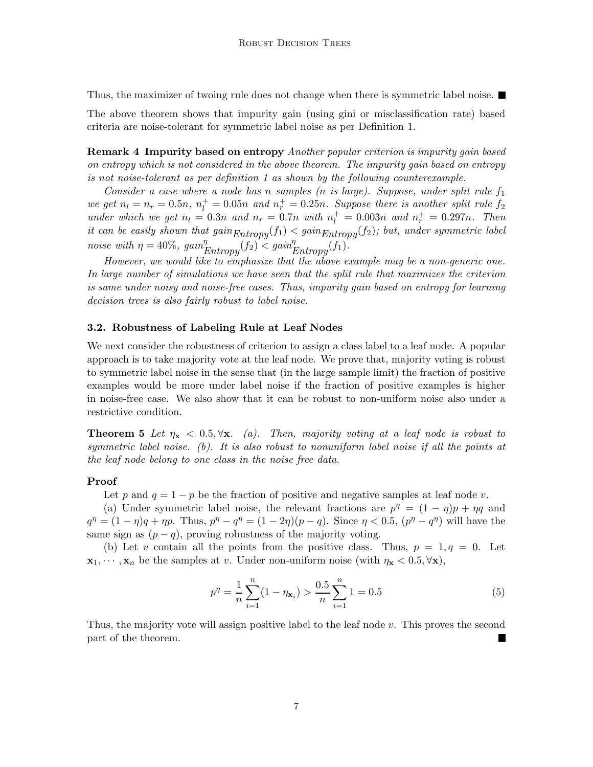Thus, the maximizer of twoing rule does not change when there is symmetric label noise.

The above theorem shows that impurity gain (using gini or misclassification rate) based criteria are noise-tolerant for symmetric label noise as per Definition 1.

Remark 4 Impurity based on entropy Another popular criterion is impurity gain based on entropy which is not considered in the above theorem. The impurity gain based on entropy is not noise-tolerant as per definition 1 as shown by the following counterexample.

Consider a case where a node has n samples (n is large). Suppose, under split rule  $f_1$ we get  $n_l = n_r = 0.5n$ ,  $n_l^+ = 0.05n$  and  $n_r^+ = 0.25n$ . Suppose there is another split rule  $f_2$ under which we get  $n_l = 0.3n$  and  $n_r = 0.7n$  with  $n_l^+ = 0.003n$  and  $n_r^+ = 0.297n$ . Then it can be easily shown that  $gain_{Entropy}(f_1) < gain_{Entropy}(f_2)$ ; but, under symmetric label noise with  $\eta = 40\%$ ,  $gain_{Entropy}^{\eta}(f_2) < gain_{Entropy}^{\eta}(f_1)$ .

However, we would like to emphasize that the above example may be a non-generic one. In large number of simulations we have seen that the split rule that maximizes the criterion is same under noisy and noise-free cases. Thus, impurity gain based on entropy for learning decision trees is also fairly robust to label noise.

#### 3.2. Robustness of Labeling Rule at Leaf Nodes

We next consider the robustness of criterion to assign a class label to a leaf node. A popular approach is to take majority vote at the leaf node. We prove that, majority voting is robust to symmetric label noise in the sense that (in the large sample limit) the fraction of positive examples would be more under label noise if the fraction of positive examples is higher in noise-free case. We also show that it can be robust to non-uniform noise also under a restrictive condition.

**Theorem 5** Let  $\eta_{\mathbf{x}} < 0.5, \forall \mathbf{x}$ . (a). Then, majority voting at a leaf node is robust to symmetric label noise. (b). It is also robust to nonuniform label noise if all the points at the leaf node belong to one class in the noise free data.

#### Proof

Let p and  $q = 1 - p$  be the fraction of positive and negative samples at leaf node v.

(a) Under symmetric label noise, the relevant fractions are  $p^{\eta} = (1 - \eta)p + \eta q$  and  $q^{\eta} = (1 - \eta)q + \eta p$ . Thus,  $p^{\eta} - q^{\eta} = (1 - 2\eta)(p - q)$ . Since  $\eta < 0.5$ ,  $(p^{\eta} - q^{\eta})$  will have the same sign as  $(p - q)$ , proving robustness of the majority voting.

(b) Let v contain all the points from the positive class. Thus,  $p = 1, q = 0$ . Let  $\mathbf{x}_1, \dots, \mathbf{x}_n$  be the samples at v. Under non-uniform noise (with  $\eta_{\mathbf{x}} < 0.5, \forall \mathbf{x}$ ),

$$
p^{\eta} = \frac{1}{n} \sum_{i=1}^{n} (1 - \eta_{\mathbf{x}_i}) > \frac{0.5}{n} \sum_{i=1}^{n} 1 = 0.5
$$
 (5)

Thus, the majority vote will assign positive label to the leaf node  $v$ . This proves the second part of the theorem.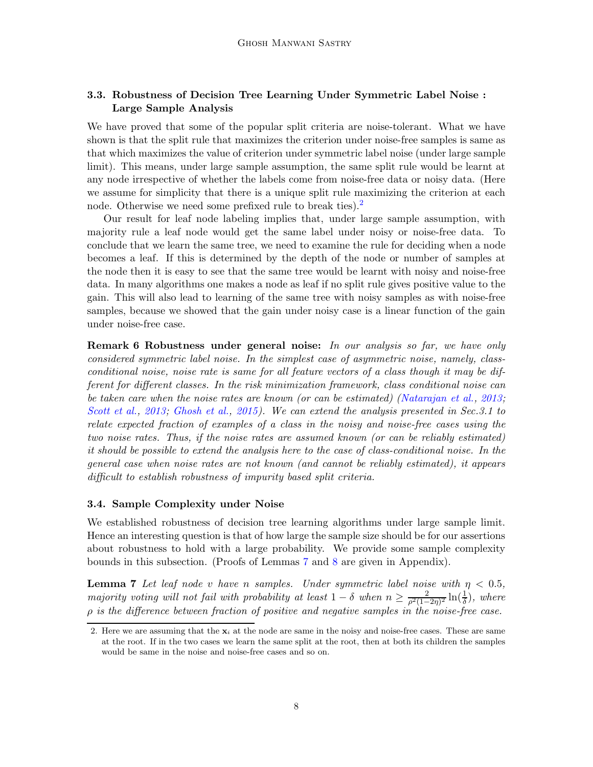# 3.3. Robustness of Decision Tree Learning Under Symmetric Label Noise : Large Sample Analysis

We have proved that some of the popular split criteria are noise-tolerant. What we have shown is that the split rule that maximizes the criterion under noise-free samples is same as that which maximizes the value of criterion under symmetric label noise (under large sample limit). This means, under large sample assumption, the same split rule would be learnt at any node irrespective of whether the labels come from noise-free data or noisy data. (Here we assume for simplicity that there is a unique split rule maximizing the criterion at each node. Otherwise we need some prefixed rule to break ties).<sup>[2](#page-7-0)</sup>

Our result for leaf node labeling implies that, under large sample assumption, with majority rule a leaf node would get the same label under noisy or noise-free data. To conclude that we learn the same tree, we need to examine the rule for deciding when a node becomes a leaf. If this is determined by the depth of the node or number of samples at the node then it is easy to see that the same tree would be learnt with noisy and noise-free data. In many algorithms one makes a node as leaf if no split rule gives positive value to the gain. This will also lead to learning of the same tree with noisy samples as with noise-free samples, because we showed that the gain under noisy case is a linear function of the gain under noise-free case.

**Remark 6 Robustness under general noise:** In our analysis so far, we have only considered symmetric label noise. In the simplest case of asymmetric noise, namely, classconditional noise, noise rate is same for all feature vectors of a class though it may be different for different classes. In the risk minimization framework, class conditional noise can be taken care when the noise rates are known (or can be estimated) [\(Natarajan et al.](#page-13-10), [2013](#page-13-10); Scott et al., 2013; [Ghosh et al.](#page-13-9), [2015](#page-13-9)). We can extend the analysis presented in Sec. 3.1 to relate expected fraction of examples of a class in the noisy and noise-free cases using the two noise rates. Thus, if the noise rates are assumed known (or can be reliably estimated) it should be possible to extend the analysis here to the case of class-conditional noise. In the general case when noise rates are not known (and cannot be reliably estimated), it appears difficult to establish robustness of impurity based split criteria.

#### 3.4. Sample Complexity under Noise

We established robustness of decision tree learning algorithms under large sample limit. Hence an interesting question is that of how large the sample size should be for our assertions about robustness to hold with a large probability. We provide some sample complexity bounds in this subsection. (Proofs of Lemmas [7](#page-7-1) and [8](#page-8-0) are given in Appendix).

<span id="page-7-1"></span>**Lemma 7** Let leaf node v have n samples. Under symmetric label noise with  $\eta < 0.5$ , majority voting will not fail with probability at least  $1 - \delta$  when  $n \geq \frac{2}{\rho^2(1-\delta)}$  $\frac{2}{\rho^2(1-2\eta)^2}\ln(\frac{1}{\delta}),$  where  $\rho$  is the difference between fraction of positive and negative samples in the noise-free case.

<span id="page-7-0"></span><sup>2.</sup> Here we are assuming that the  $x_i$  at the node are same in the noisy and noise-free cases. These are same at the root. If in the two cases we learn the same split at the root, then at both its children the samples would be same in the noise and noise-free cases and so on.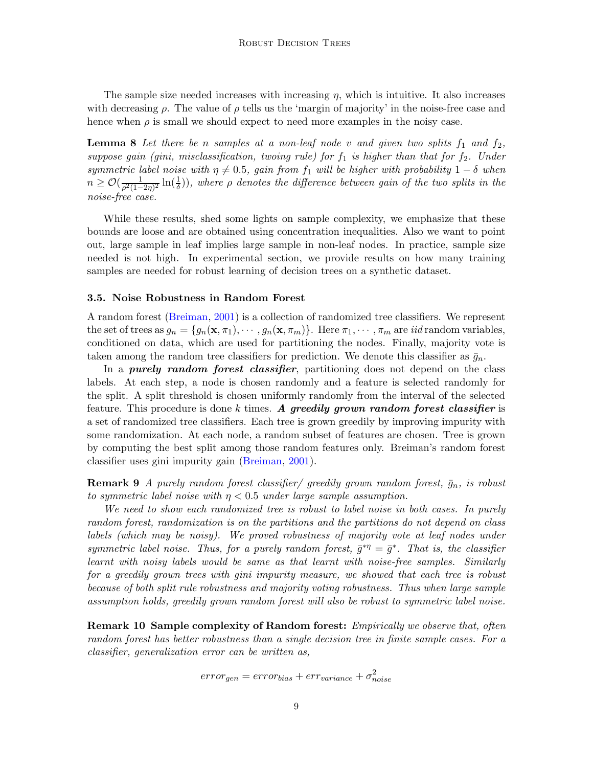<span id="page-8-0"></span>The sample size needed increases with increasing  $\eta$ , which is intuitive. It also increases with decreasing  $\rho$ . The value of  $\rho$  tells us the 'margin of majority' in the noise-free case and hence when  $\rho$  is small we should expect to need more examples in the noisy case.

**Lemma 8** Let there be n samples at a non-leaf node v and given two splits  $f_1$  and  $f_2$ , suppose gain (gini, misclassification, twoing rule) for  $f_1$  is higher than that for  $f_2$ . Under symmetric label noise with  $\eta \neq 0.5$ , gain from  $f_1$  will be higher with probability  $1 - \delta$  when  $n \geq \mathcal{O}(\frac{1}{\rho^2(1-2\eta)^2}\ln(\frac{1}{\delta}))$ , where  $\rho$  denotes the difference between gain of the two splits in the noise-free case.

While these results, shed some lights on sample complexity, we emphasize that these bounds are loose and are obtained using concentration inequalities. Also we want to point out, large sample in leaf implies large sample in non-leaf nodes. In practice, sample size needed is not high. In experimental section, we provide results on how many training samples are needed for robust learning of decision trees on a synthetic dataset.

#### 3.5. Noise Robustness in Random Forest

A random forest [\(Breiman,](#page-13-12) [2001\)](#page-13-12) is a collection of randomized tree classifiers. We represent the set of trees as  $g_n = \{g_n(\mathbf{x}, \pi_1), \cdots, g_n(\mathbf{x}, \pi_m)\}\.$  Here  $\pi_1, \cdots, \pi_m$  are *iid* random variables, conditioned on data, which are used for partitioning the nodes. Finally, majority vote is taken among the random tree classifiers for prediction. We denote this classifier as  $\bar{g}_n$ .

In a *purely random forest classifier*, partitioning does not depend on the class labels. At each step, a node is chosen randomly and a feature is selected randomly for the split. A split threshold is chosen uniformly randomly from the interval of the selected feature. This procedure is done k times. A greedily grown random forest classifier is a set of randomized tree classifiers. Each tree is grown greedily by improving impurity with some randomization. At each node, a random subset of features are chosen. Tree is grown by computing the best split among those random features only. Breiman's random forest classifier uses gini impurity gain [\(Breiman](#page-13-12), [2001\)](#page-13-12).

**Remark 9** A purely random forest classifier/ greedily grown random forest,  $\bar{g}_n$ , is robust to symmetric label noise with  $\eta$  < 0.5 under large sample assumption.

We need to show each randomized tree is robust to label noise in both cases. In purely random forest, randomization is on the partitions and the partitions do not depend on class labels (which may be noisy). We proved robustness of majority vote at leaf nodes under symmetric label noise. Thus, for a purely random forest,  $\bar{g}^{*\eta} = \bar{g}^*$ . That is, the classifier learnt with noisy labels would be same as that learnt with noise-free samples. Similarly for a greedily grown trees with gini impurity measure, we showed that each tree is robust because of both split rule robustness and majority voting robustness. Thus when large sample assumption holds, greedily grown random forest will also be robust to symmetric label noise.

**Remark 10 Sample complexity of Random forest:** *Empirically we observe that, often* random forest has better robustness than a single decision tree in finite sample cases. For a classifier, generalization error can be written as,

$$
error_{gen} = error_{bias} + err_{variance} + \sigma_{noise}^2
$$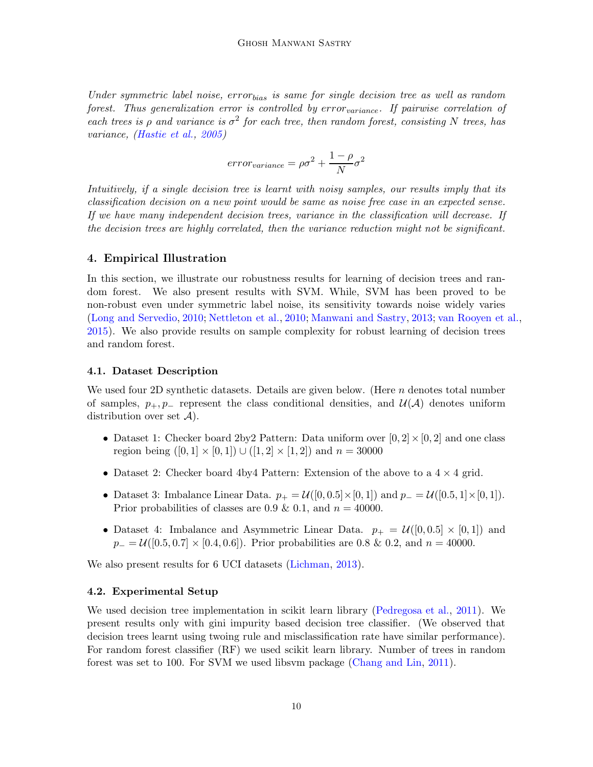Under symmetric label noise, error<sub>bias</sub> is same for single decision tree as well as random forest. Thus generalization error is controlled by error  $variance$ . If pairwise correlation of each trees is  $\rho$  and variance is  $\sigma^2$  for each tree, then random forest, consisting N trees, has variance, [\(Hastie et al.,](#page-13-2) [2005](#page-13-2))

$$
error_{variance} = \rho \sigma^2 + \frac{1-\rho}{N} \sigma^2
$$

Intuitively, if a single decision tree is learnt with noisy samples, our results imply that its classification decision on a new point would be same as noise free case in an expected sense. If we have many independent decision trees, variance in the classification will decrease. If the decision trees are highly correlated, then the variance reduction might not be significant.

# 4. Empirical Illustration

In this section, we illustrate our robustness results for learning of decision trees and random forest. We also present results with SVM. While, SVM has been proved to be non-robust even under symmetric label noise, its sensitivity towards noise widely varies [\(Long and Servedio,](#page-13-7) [2010](#page-13-7); [Nettleton et al.,](#page-13-6) [2010;](#page-13-6) [Manwani and Sastry,](#page-13-8) [2013;](#page-13-8) [van Rooyen et al.,](#page-14-1) [2015\)](#page-14-1). We also provide results on sample complexity for robust learning of decision trees and random forest.

# 4.1. Dataset Description

We used four 2D synthetic datasets. Details are given below. (Here  $n$  denotes total number of samples,  $p_+, p_-$  represent the class conditional densities, and  $\mathcal{U}(\mathcal{A})$  denotes uniform distribution over set  $\mathcal{A}$ ).

- Dataset 1: Checker board 2by 2Pattern: Data uniform over  $[0, 2] \times [0, 2]$  and one class region being  $([0, 1] \times [0, 1]) \cup ([1, 2] \times [1, 2])$  and  $n = 30000$
- Dataset 2: Checker board 4by4 Pattern: Extension of the above to a  $4 \times 4$  grid.
- Dataset 3: Imbalance Linear Data.  $p_+ = \mathcal{U}([0, 0.5] \times [0, 1])$  and  $p_- = \mathcal{U}([0.5, 1] \times [0, 1])$ . Prior probabilities of classes are 0.9 & 0.1, and  $n = 40000$ .
- Dataset 4: Imbalance and Asymmetric Linear Data.  $p_{+} = \mathcal{U}([0, 0.5] \times [0, 1])$  and  $p_-=\mathcal{U}([0.5, 0.7] \times [0.4, 0.6])$ . Prior probabilities are 0.8 & 0.2, and  $n=40000$ .

We also present results for 6 UCI datasets [\(Lichman,](#page-13-13) [2013](#page-13-13)).

# 4.2. Experimental Setup

We used decision tree implementation in scikit learn library [\(Pedregosa et al.](#page-14-3), [2011](#page-14-3)). We present results only with gini impurity based decision tree classifier. (We observed that decision trees learnt using twoing rule and misclassification rate have similar performance). For random forest classifier (RF) we used scikit learn library. Number of trees in random forest was set to 100. For SVM we used libsvm package [\(Chang and Lin,](#page-13-14) [2011](#page-13-14)).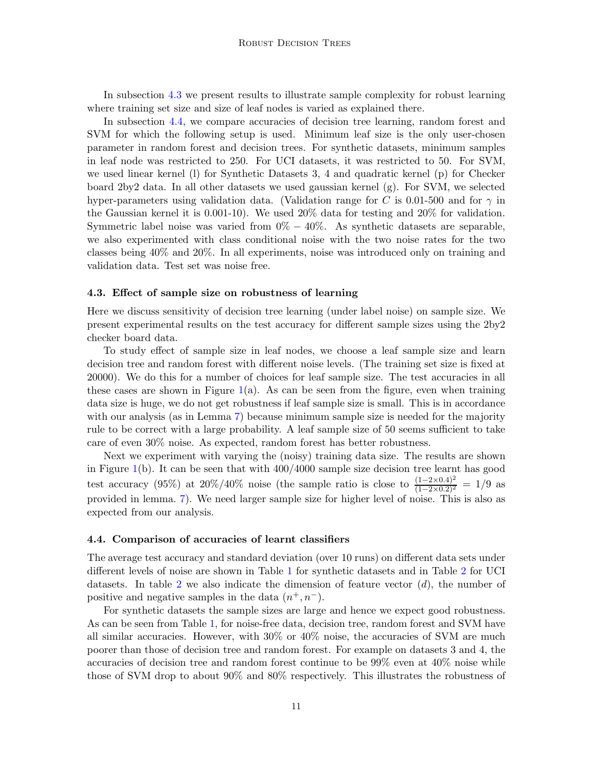In subsection [4.3](#page-10-0) we present results to illustrate sample complexity for robust learning where training set size and size of leaf nodes is varied as explained there.

In subsection [4.4,](#page-10-1) we compare accuracies of decision tree learning, random forest and SVM for which the following setup is used. Minimum leaf size is the only user-chosen parameter in random forest and decision trees. For synthetic datasets, minimum samples in leaf node was restricted to 250. For UCI datasets, it was restricted to 50. For SVM, we used linear kernel (l) for Synthetic Datasets 3, 4 and quadratic kernel (p) for Checker board 2by2 data. In all other datasets we used gaussian kernel (g). For SVM, we selected hyper-parameters using validation data. (Validation range for C is 0.01-500 and for  $\gamma$  in the Gaussian kernel it is 0.001-10). We used 20% data for testing and 20% for validation. Symmetric label noise was varied from  $0\% - 40\%$ . As synthetic datasets are separable, we also experimented with class conditional noise with the two noise rates for the two classes being 40% and 20%. In all experiments, noise was introduced only on training and validation data. Test set was noise free.

#### <span id="page-10-0"></span>4.3. Effect of sample size on robustness of learning

Here we discuss sensitivity of decision tree learning (under label noise) on sample size. We present experimental results on the test accuracy for different sample sizes using the 2by2 checker board data.

To study effect of sample size in leaf nodes, we choose a leaf sample size and learn decision tree and random forest with different noise levels. (The training set size is fixed at 20000). We do this for a number of choices for leaf sample size. The test accuracies in all these cases are shown in Figure  $1(a)$  $1(a)$ . As can be seen from the figure, even when training data size is huge, we do not get robustness if leaf sample size is small. This is in accordance with our analysis (as in Lemma [7\)](#page-7-1) because minimum sample size is needed for the majority rule to be correct with a large probability. A leaf sample size of 50 seems sufficient to take care of even 30% noise. As expected, random forest has better robustness.

Next we experiment with varying the (noisy) training data size. The results are shown in Figure  $1(b)$  $1(b)$ . It can be seen that with  $400/4000$  sample size decision tree learnt has good test accuracy (95%) at 20%/40% noise (the sample ratio is close to  $\frac{(1-2\times0.4)^2}{(1-2\times0.2)^2} = 1/9$  as provided in lemma. [7\)](#page-7-1). We need larger sample size for higher level of noise. This is also as expected from our analysis.

#### <span id="page-10-1"></span>4.4. Comparison of accuracies of learnt classifiers

The average test accuracy and standard deviation (over 10 runs) on different data sets under different levels of noise are shown in Table [1](#page-12-0) for synthetic datasets and in Table [2](#page-12-1) for UCI datasets. In table [2](#page-12-1) we also indicate the dimension of feature vector  $(d)$ , the number of positive and negative samples in the data  $(n^+, n^-)$ .

For synthetic datasets the sample sizes are large and hence we expect good robustness. As can be seen from Table [1,](#page-12-0) for noise-free data, decision tree, random forest and SVM have all similar accuracies. However, with 30% or 40% noise, the accuracies of SVM are much poorer than those of decision tree and random forest. For example on datasets 3 and 4, the accuracies of decision tree and random forest continue to be 99% even at 40% noise while those of SVM drop to about 90% and 80% respectively. This illustrates the robustness of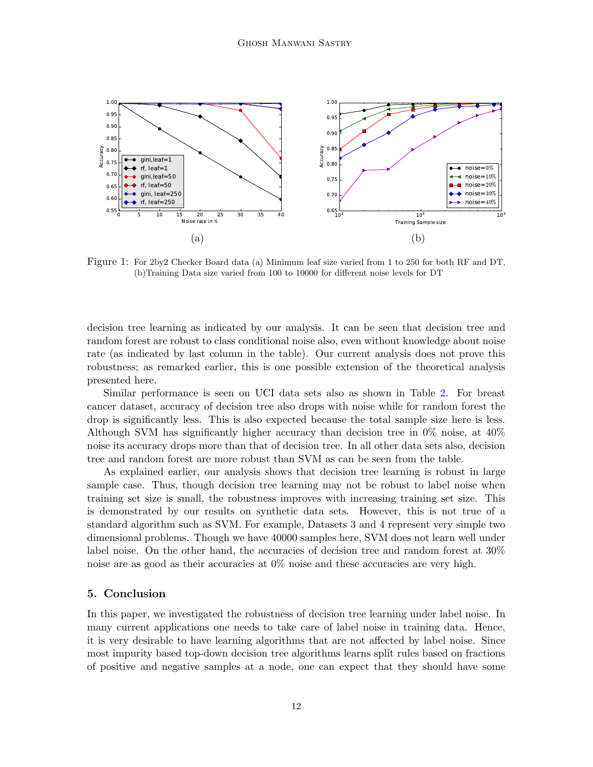

<span id="page-11-0"></span>Figure 1: For 2by2 Checker Board data (a) Minimum leaf size varied from 1 to 250 for both RF and DT, (b)Training Data size varied from 100 to 10000 for different noise levels for DT

decision tree learning as indicated by our analysis. It can be seen that decision tree and random forest are robust to class conditional noise also, even without knowledge about noise rate (as indicated by last column in the table). Our current analysis does not prove this robustness; as remarked earlier, this is one possible extension of the theoretical analysis presented here.

Similar performance is seen on UCI data sets also as shown in Table [2.](#page-12-1) For breast cancer dataset, accuracy of decision tree also drops with noise while for random forest the drop is significantly less. This is also expected because the total sample size here is less. Although SVM has significantly higher accuracy than decision tree in 0% noise, at 40% noise its accuracy drops more than that of decision tree. In all other data sets also, decision tree and random forest are more robust than SVM as can be seen from the table.

As explained earlier, our analysis shows that decision tree learning is robust in large sample case. Thus, though decision tree learning may not be robust to label noise when training set size is small, the robustness improves with increasing training set size. This is demonstrated by our results on synthetic data sets. However, this is not true of a standard algorithm such as SVM. For example, Datasets 3 and 4 represent very simple two dimensional problems. Though we have 40000 samples here, SVM does not learn well under label noise. On the other hand, the accuracies of decision tree and random forest at 30% noise are as good as their accuracies at 0% noise and these accuracies are very high.

# 5. Conclusion

In this paper, we investigated the robustness of decision tree learning under label noise. In many current applications one needs to take care of label noise in training data. Hence, it is very desirable to have learning algorithms that are not affected by label noise. Since most impurity based top-down decision tree algorithms learns split rules based on fractions of positive and negative samples at a node, one can expect that they should have some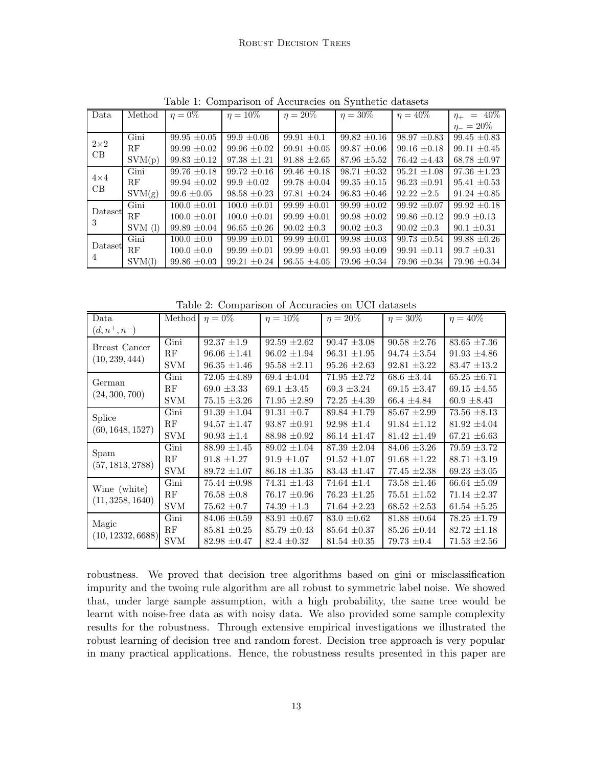| Data              | Method    | $\eta=0\%$       | $\eta = 10\%$    | $\eta = 20\%$    | $\eta = 30\%$    | $\eta = 40\%$    | $\eta_{+}$ = 40\% |
|-------------------|-----------|------------------|------------------|------------------|------------------|------------------|-------------------|
|                   |           |                  |                  |                  |                  |                  | $\eta_{-}=20\%$   |
| $2\times 2$<br>CB | Gini      | $99.95 \pm 0.05$ | $99.9 \pm 0.06$  | $99.91 \pm 0.1$  | $99.82 \pm 0.16$ | $98.97 \pm 0.83$ | $99.45 \pm 0.83$  |
|                   | RF        | $99.99 \pm 0.02$ | $99.96 + 0.02$   | $99.91 \pm 0.05$ | $99.87 + 0.06$   | $99.16 + 0.18$   | $99.11 + 0.45$    |
|                   | SVM(p)    | $99.83 \pm 0.12$ | $97.38 \pm 1.21$ | $91.88 \pm 2.65$ | $87.96 \pm 5.52$ | $76.42 \pm 4.43$ | $68.78 \pm 0.97$  |
| $4\times4$<br>CB  | Gini      | $99.76 \pm 0.18$ | $99.72 + 0.16$   | $99.46 \pm 0.18$ | $98.71 \pm 0.32$ | $95.21 + 1.08$   | $97.36 \pm 1.23$  |
|                   | RF        | $99.94 \pm 0.02$ | $99.9 \pm 0.02$  | $99.78 \pm 0.04$ | $99.35 \pm 0.15$ | $96.23 + 0.91$   | $95.41 \pm 0.53$  |
|                   | SVM(g)    | $99.6 \pm 0.05$  | $98.58 \pm 0.23$ | $97.81 \pm 0.24$ | $96.83 \pm 0.46$ | $92.22 \pm 2.5$  | $91.24 \pm 0.85$  |
| Dataset<br>3      | Gini      | $100.0 + 0.01$   | $100.0 + 0.01$   | $99.99 + 0.01$   | $99.99 + 0.02$   | $99.92 + 0.07$   | $99.92 + 0.18$    |
|                   | RF        | $100.0 \pm 0.01$ | $100.0 \pm 0.01$ | $99.99 \pm 0.01$ | $99.98 \pm 0.02$ | $99.86 \pm 0.12$ | $99.9 \pm 0.13$   |
|                   | $SVM$ (1) | $99.89 \pm 0.04$ | $96.65 \pm 0.26$ | $90.02 \pm 0.3$  | $90.02 \pm 0.3$  | $90.02 \pm 0.3$  | $90.1 \pm 0.31$   |
| Dataset<br>4      | Gini      | $100.0 \pm 0.0$  | $99.99 + 0.01$   | $99.99 + 0.01$   | $99.98 + 0.03$   | $99.73 \pm 0.54$ | $99.88 + 0.26$    |
|                   | RF        | $100.0 \pm 0.0$  | $99.99 + 0.01$   | $99.99 \pm 0.01$ | $99.93 \pm 0.09$ | $99.91 + 0.11$   | $99.7 + 0.31$     |
|                   | SVM(1)    | $99.86 \pm 0.03$ | $99.21 \pm 0.24$ | $96.55 \pm 4.05$ | $79.96 \pm 0.34$ | $79.96 \pm 0.34$ | $79.96 \pm 0.34$  |

<span id="page-12-0"></span>Table 1: Comparison of Accuracies on Synthetic datasets

<span id="page-12-1"></span>Table 2: Comparison of Accuracies on UCI datasets

| Data                             | Method     | $\eta=0\%$       | $\eta = 10\%$    | $\eta = 20\%$    | $\eta = 30\%$    | $\eta = 40\%$    |
|----------------------------------|------------|------------------|------------------|------------------|------------------|------------------|
| $(d, n^+, n^-)$                  |            |                  |                  |                  |                  |                  |
| Breast Cancer                    | Gini       | $92.37 \pm 1.9$  | $92.59 \pm 2.62$ | $90.47 \pm 3.08$ | $90.58 \pm 2.76$ | $83.65 \pm 7.36$ |
| (10, 239, 444)                   | RF         | $96.06 \pm 1.41$ | $96.02 \pm 1.94$ | $96.31 \pm 1.95$ | $94.74 \pm 3.54$ | $91.93 \pm 4.86$ |
|                                  | SVM        | $96.35 \pm 1.46$ | $95.58 \pm 2.11$ | $95.26 \pm 2.63$ | $92.81 \pm 3.22$ | $83.47 \pm 13.2$ |
| German<br>(24, 300, 700)         | Gini       | $72.05 \pm 4.89$ | $69.4 \pm 4.04$  | $71.95 \pm 2.72$ | $68.6 \pm 3.44$  | $65.25 \pm 6.71$ |
|                                  | RF         | $69.0 \pm 3.33$  | 69.1 $\pm 3.45$  | $69.3 \pm 3.24$  | $69.15 \pm 3.47$ | $69.15 \pm 4.55$ |
|                                  | SVM        | $75.15 \pm 3.26$ | $71.95 \pm 2.89$ | $72.25 \pm 4.39$ | $66.4 \pm 4.84$  | $60.9 \pm 8.43$  |
| Splice                           | Gini       | $91.39 \pm 1.04$ | $91.31 \pm 0.7$  | $89.84 \pm 1.79$ | $85.67 \pm 2.99$ | $73.56 \pm 8.13$ |
| (60, 1648, 1527)                 | RF         | $94.57 \pm 1.47$ | $93.87 \pm 0.91$ | $92.98 \pm 1.4$  | $91.84 \pm 1.12$ | $81.92 \pm 4.04$ |
|                                  | <b>SVM</b> | $90.93 \pm 1.4$  | $88.98 \pm 0.92$ | $86.14 \pm 1.47$ | $81.42 \pm 1.49$ | $67.21 \pm 6.63$ |
| Spam                             | Gini       | $88.99 \pm 1.45$ | $89.02 \pm 1.04$ | $87.39 \pm 2.04$ | $84.06 \pm 3.26$ | $79.59 \pm 3.72$ |
| (57, 1813, 2788)                 | RF         | $91.8 \pm 1.27$  | $91.9 \pm 1.07$  | $91.52 \pm 1.07$ | $91.68 \pm 1.22$ | $88.71 \pm 3.19$ |
|                                  | <b>SVM</b> | $89.72 \pm 1.07$ | $86.18 \pm 1.35$ | $83.43 \pm 1.47$ | $77.45 \pm 2.38$ | $69.23 \pm 3.05$ |
|                                  | Gini       | $75.44 \pm 0.98$ | $74.31 \pm 1.43$ | 74.64 $\pm 1.4$  | $73.58 \pm 1.46$ | $66.64 \pm 5.09$ |
| Wine (white)<br>(11, 3258, 1640) | RF         | $76.58 \pm 0.8$  | $76.17 \pm 0.96$ | $76.23 \pm 1.25$ | $75.51 \pm 1.52$ | $71.14 \pm 2.37$ |
|                                  | <b>SVM</b> | $75.62 \pm 0.7$  | $74.39 \pm 1.3$  | $71.64 \pm 2.23$ | $68.52 \pm 2.53$ | $61.54 \pm 5.25$ |
| Magic                            | Gini       | $84.06 \pm 0.59$ | $83.91 \pm 0.67$ | $83.0 \pm 0.62$  | $81.88 \pm 0.64$ | $78.25 \pm 1.79$ |
| (10, 12332, 6688)                | RF         | $85.81 \pm 0.25$ | $85.79 \pm 0.43$ | $85.64 \pm 0.37$ | $85.26 \pm 0.44$ | $82.72 \pm 1.18$ |
|                                  | <b>SVM</b> | $82.98 \pm 0.47$ | $82.4 \pm 0.32$  | $81.54 \pm 0.35$ | $79.73 \pm 0.4$  | $71.53 \pm 2.56$ |

robustness. We proved that decision tree algorithms based on gini or misclassification impurity and the twoing rule algorithm are all robust to symmetric label noise. We showed that, under large sample assumption, with a high probability, the same tree would be learnt with noise-free data as with noisy data. We also provided some sample complexity results for the robustness. Through extensive empirical investigations we illustrated the robust learning of decision tree and random forest. Decision tree approach is very popular in many practical applications. Hence, the robustness results presented in this paper are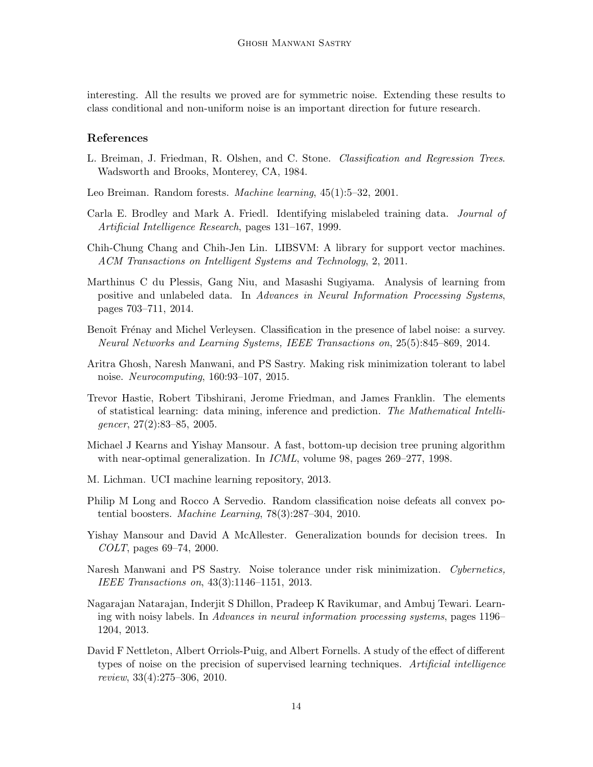interesting. All the results we proved are for symmetric noise. Extending these results to class conditional and non-uniform noise is an important direction for future research.

# References

- <span id="page-13-11"></span>L. Breiman, J. Friedman, R. Olshen, and C. Stone. Classification and Regression Trees. Wadsworth and Brooks, Monterey, CA, 1984.
- <span id="page-13-12"></span>Leo Breiman. Random forests. Machine learning, 45(1):5–32, 2001.
- <span id="page-13-5"></span>Carla E. Brodley and Mark A. Friedl. Identifying mislabeled training data. Journal of Artificial Intelligence Research, pages 131–167, 1999.
- <span id="page-13-14"></span>Chih-Chung Chang and Chih-Jen Lin. LIBSVM: A library for support vector machines. ACM Transactions on Intelligent Systems and Technology, 2, 2011.
- <span id="page-13-0"></span>Marthinus C du Plessis, Gang Niu, and Masashi Sugiyama. Analysis of learning from positive and unlabeled data. In Advances in Neural Information Processing Systems, pages 703–711, 2014.
- <span id="page-13-1"></span>Benoît Frénay and Michel Verleysen. Classification in the presence of label noise: a survey. Neural Networks and Learning Systems, IEEE Transactions on, 25(5):845–869, 2014.
- <span id="page-13-9"></span>Aritra Ghosh, Naresh Manwani, and PS Sastry. Making risk minimization tolerant to label noise. Neurocomputing, 160:93–107, 2015.
- <span id="page-13-2"></span>Trevor Hastie, Robert Tibshirani, Jerome Friedman, and James Franklin. The elements of statistical learning: data mining, inference and prediction. The Mathematical Intelligencer, 27(2):83–85, 2005.
- <span id="page-13-4"></span>Michael J Kearns and Yishay Mansour. A fast, bottom-up decision tree pruning algorithm with near-optimal generalization. In *ICML*, volume 98, pages 269–277, 1998.
- <span id="page-13-13"></span>M. Lichman. UCI machine learning repository, 2013.
- <span id="page-13-7"></span>Philip M Long and Rocco A Servedio. Random classification noise defeats all convex potential boosters. Machine Learning, 78(3):287–304, 2010.
- <span id="page-13-3"></span>Yishay Mansour and David A McAllester. Generalization bounds for decision trees. In COLT, pages 69–74, 2000.
- <span id="page-13-8"></span>Naresh Manwani and PS Sastry. Noise tolerance under risk minimization. Cybernetics, IEEE Transactions on, 43(3):1146–1151, 2013.
- <span id="page-13-10"></span>Nagarajan Natarajan, Inderjit S Dhillon, Pradeep K Ravikumar, and Ambuj Tewari. Learning with noisy labels. In Advances in neural information processing systems, pages 1196– 1204, 2013.
- <span id="page-13-6"></span>David F Nettleton, Albert Orriols-Puig, and Albert Fornells. A study of the effect of different types of noise on the precision of supervised learning techniques. Artificial intelligence review, 33(4):275–306, 2010.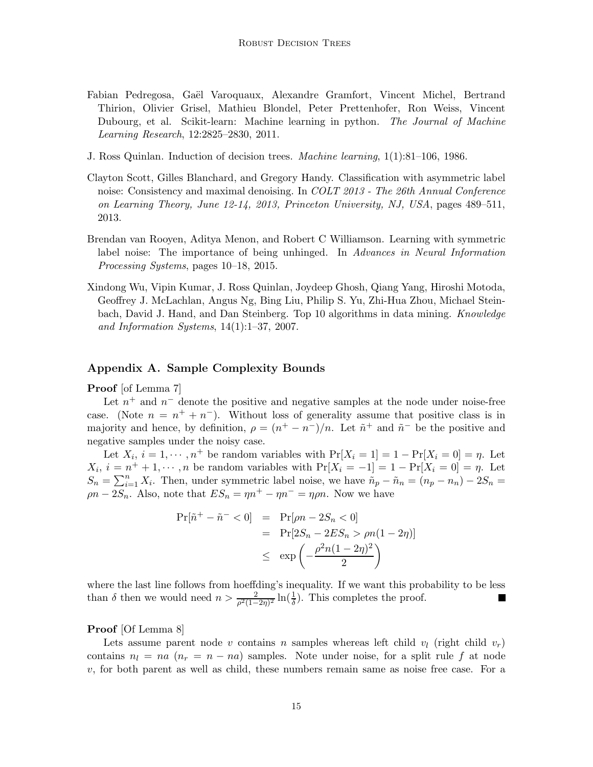- <span id="page-14-3"></span>Fabian Pedregosa, Gaël Varoquaux, Alexandre Gramfort, Vincent Michel, Bertrand Thirion, Olivier Grisel, Mathieu Blondel, Peter Prettenhofer, Ron Weiss, Vincent Dubourg, et al. Scikit-learn: Machine learning in python. The Journal of Machine Learning Research, 12:2825–2830, 2011.
- <span id="page-14-2"></span>J. Ross Quinlan. Induction of decision trees. Machine learning, 1(1):81–106, 1986.
- Clayton Scott, Gilles Blanchard, and Gregory Handy. Classification with asymmetric label noise: Consistency and maximal denoising. In *COLT 2013 - The 26th Annual Conference* on Learning Theory, June 12-14, 2013, Princeton University, NJ, USA, pages 489–511, 2013.
- <span id="page-14-1"></span>Brendan van Rooyen, Aditya Menon, and Robert C Williamson. Learning with symmetric label noise: The importance of being unhinged. In Advances in Neural Information Processing Systems, pages 10–18, 2015.
- <span id="page-14-0"></span>Xindong Wu, Vipin Kumar, J. Ross Quinlan, Joydeep Ghosh, Qiang Yang, Hiroshi Motoda, Geoffrey J. McLachlan, Angus Ng, Bing Liu, Philip S. Yu, Zhi-Hua Zhou, Michael Steinbach, David J. Hand, and Dan Steinberg. Top 10 algorithms in data mining. Knowledge and Information Systems,  $14(1):1-37$ , 2007.

# Appendix A. Sample Complexity Bounds

Proof [of Lemma 7]

Let  $n^{+}$  and  $n^{-}$  denote the positive and negative samples at the node under noise-free case. (Note  $n = n^+ + n^-$ ). Without loss of generality assume that positive class is in majority and hence, by definition,  $\rho = (n^+ - n^-)/n$ . Let  $\tilde{n}^+$  and  $\tilde{n}^-$  be the positive and negative samples under the noisy case.

Let  $X_i$ ,  $i = 1, \dots, n^+$  be random variables with  $\Pr[X_i = 1] = 1 - \Pr[X_i = 0] = \eta$ . Let  $X_i, i = n^+ + 1, \dots, n$  be random variables with  $Pr[X_i = -1] = 1 - Pr[X_i = 0] = n$ . Let  $S_n = \sum_{i=1}^n X_i$ . Then, under symmetric label noise, we have  $\tilde{n}_p - \tilde{n}_n = (n_p - n_n) - 2S_n =$  $\rho n - 2S_n$ . Also, note that  $ES_n = \eta n^+ - \eta n^- = \eta \rho n$ . Now we have

$$
Pr[\tilde{n}^+ - \tilde{n}^- < 0] = Pr[\rho n - 2S_n < 0]
$$
\n
$$
= Pr[2S_n - 2ES_n > \rho n(1 - 2\eta)]
$$
\n
$$
\leq \exp\left(-\frac{\rho^2 n(1 - 2\eta)^2}{2}\right)
$$

where the last line follows from hoeffding's inequality. If we want this probability to be less than  $\delta$  then we would need  $n > \frac{2}{\rho^2(1-2\eta)^2} \ln(\frac{1}{\delta})$ . This completes the proof.

#### Proof [Of Lemma 8]

Lets assume parent node v contains n samples whereas left child  $v_l$  (right child  $v_r$ ) contains  $n_l = na$   $(n_r = n - na)$  samples. Note under noise, for a split rule f at node  $v$ , for both parent as well as child, these numbers remain same as noise free case. For a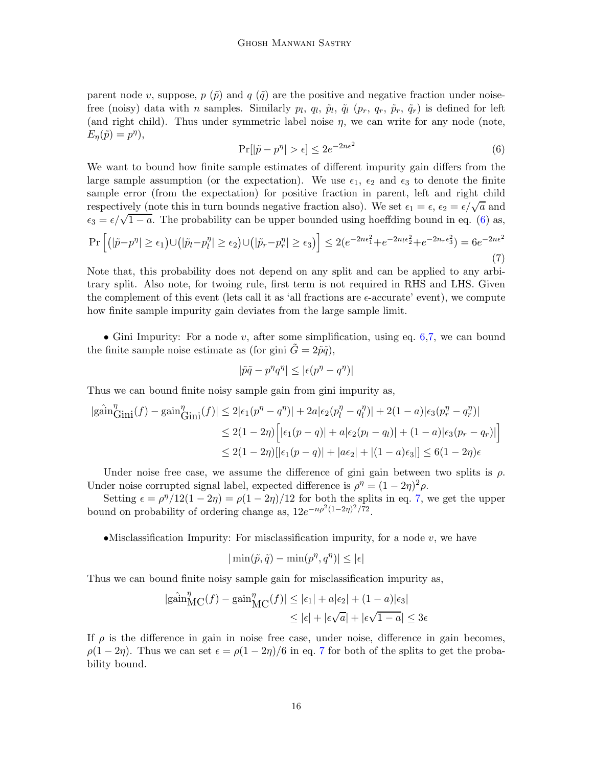parent node v, suppose,  $p(\tilde{p})$  and  $q(\tilde{q})$  are the positive and negative fraction under noisefree (noisy) data with *n* samples. Similarly  $p_l$ ,  $q_l$ ,  $\tilde{p}_l$ ,  $\tilde{q}_l$  ( $p_r$ ,  $q_r$ ,  $\tilde{p}_r$ ,  $\tilde{q}_r$ ) is defined for left (and right child). Thus under symmetric label noise  $\eta$ , we can write for any node (note,  $E_{\eta}(\tilde{p}) = p^{\eta}$ ,

<span id="page-15-0"></span>
$$
\Pr[|\tilde{p} - p^{\eta}| > \epsilon] \le 2e^{-2n\epsilon^2} \tag{6}
$$

We want to bound how finite sample estimates of different impurity gain differs from the large sample assumption (or the expectation). We use  $\epsilon_1$ ,  $\epsilon_2$  and  $\epsilon_3$  to denote the finite sample error (from the expectation) for positive fraction in parent, left and right child respectively (note this in turn bounds negative fraction also). We set  $\epsilon_1 = \epsilon, \epsilon_2 = \epsilon/\sqrt{a}$  and  $\epsilon_3 = \epsilon/\sqrt{1-a}$ . The probability can be upper bounded using hoeffding bound in eq. [\(6\)](#page-15-0) as,  $\Pr\Big[\big(|\tilde{p}-p^{\eta}|\geq\epsilon_{1}\big)\cup\big(|\tilde{p}_{l}-p_{l}^{\eta}% -\eta\big)\Big]$  $\left| \frac{\eta}{\ell} \right| \geq \epsilon_2 \big) \cup \left( \left| \tilde{p}_r - p_r^{\eta} \right| \geq \epsilon_3 \right) \right] \leq 2 (e^{-2n\epsilon_1^2} + e^{-2n_l\epsilon_2^2} + e^{-2n_r\epsilon_3^2}) = 6 e^{-2n\epsilon^2}$ (7)

<span id="page-15-1"></span>Note that, this probability does not depend on any split and can be applied to any arbitrary split. Also note, for twoing rule, first term is not required in RHS and LHS. Given the complement of this event (lets call it as 'all fractions are  $\epsilon$ -accurate' event), we compute how finite sample impurity gain deviates from the large sample limit.

• Gini Impurity: For a node v, after some simplification, using eq. [6](#page-15-0)[,7,](#page-15-1) we can bound the finite sample noise estimate as (for gini  $G = 2\tilde{p}\tilde{q}$ ),

$$
|\tilde{p}\tilde{q} - p^{\eta}q^{\eta}| \leq |\epsilon(p^{\eta} - q^{\eta})|
$$

Thus we can bound finite noisy sample gain from gini impurity as,

$$
|g\hat{\text{ain}}_{\text{Gini}}^{\eta}(f) - g\text{ain}_{\text{Gini}}^{\eta}(f)| \le 2|\epsilon_1(p^{\eta} - q^{\eta})| + 2a|\epsilon_2(p_l^{\eta} - q_l^{\eta})| + 2(1 - a)|\epsilon_3(p_r^{\eta} - q_r^{\eta})|
$$
  

$$
\le 2(1 - 2\eta) \Big[ |\epsilon_1(p - q)| + a|\epsilon_2(p_l - q_l)| + (1 - a)|\epsilon_3(p_r - q_r)| \Big]
$$
  

$$
\le 2(1 - 2\eta) [|\epsilon_1(p - q)| + |\alpha \epsilon_2| + |(1 - a)\epsilon_3|] \le 6(1 - 2\eta)\epsilon
$$

Under noise free case, we assume the difference of gini gain between two splits is  $\rho$ . Under noise corrupted signal label, expected difference is  $\rho^{\eta} = (1 - 2\eta)^2 \rho$ .

Setting  $\epsilon = \rho^{\eta}/12(1-2\eta) = \rho(1-2\eta)/12$  for both the splits in eq. [7,](#page-15-1) we get the upper bound on probability of ordering change as,  $12e^{-n\rho^2(1-2\eta)^2/\tau^2}$ .

•Misclassification Impurity: For misclassification impurity, for a node  $v$ , we have

$$
|\min(\tilde{p},\tilde{q})-\min(p^{\eta},q^{\eta})|\leq |\epsilon|
$$

Thus we can bound finite noisy sample gain for misclassification impurity as,

$$
|g\hat{\text{ain}}_{\text{MC}}^{\eta}(f) - g\text{ain}_{\text{MC}}^{\eta}(f)| \le |\epsilon_1| + a|\epsilon_2| + (1 - a)|\epsilon_3|
$$
  

$$
\le |\epsilon| + |\epsilon \sqrt{a}| + |\epsilon \sqrt{1 - a}| \le 3\epsilon
$$

If  $\rho$  is the difference in gain in noise free case, under noise, difference in gain becomes,  $\rho(1-2\eta)$ . Thus we can set  $\epsilon = \rho(1-2\eta)/6$  in eq. [7](#page-15-1) for both of the splits to get the probability bound.